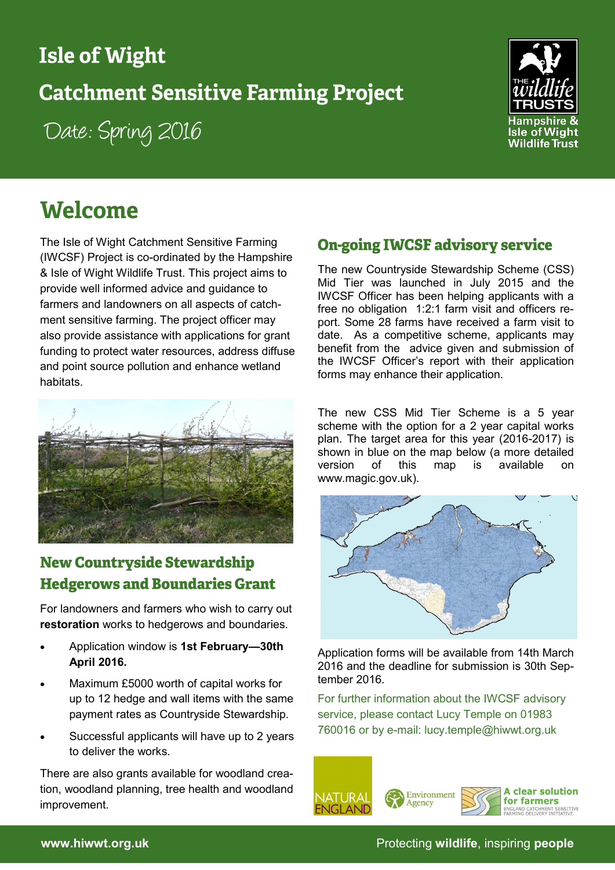## **Isle of Wight**

# **Catchment Sensitive Farming Project**

Date: Spring 2016



# **Welcome**

The Isle of Wight Catchment Sensitive Farming (IWCSF) Project is co-ordinated by the [Hampshire](http://www.hwt.org.uk/)  [& Isle of Wight Wildlife Trust.](http://www.hwt.org.uk/) This project aims to provide well informed advice and guidance to farmers and landowners on all aspects of catchment sensitive farming. The project officer may also provide assistance with applications for grant funding to protect water resources, address diffuse and point source pollution and enhance wetland habitats.



## **New Countryside Stewardship Hedgerows and Boundaries Grant**

For landowners and farmers who wish to carry out **restoration** works to hedgerows and boundaries.

- Application window is **1st February—30th April 2016.**
- Maximum £5000 worth of capital works for up to 12 hedge and wall items with the same payment rates as Countryside Stewardship.
- Successful applicants will have up to 2 years to deliver the works.

There are also grants available for woodland creation, woodland planning, tree health and woodland improvement.

### **On-going IWCSF advisory service**

The new Countryside Stewardship Scheme (CSS) Mid Tier was launched in July 2015 and the IWCSF Officer has been helping applicants with a free no obligation 1:2:1 farm visit and officers report. Some 28 farms have received a farm visit to date. As a competitive scheme, applicants may benefit from the advice given and submission of the IWCSF Officer's report with their application forms may enhance their application.

The new CSS Mid Tier Scheme is a 5 year scheme with the option for a 2 year capital works plan. The target area for this year (2016-2017) is shown in blue on the map below (a more detailed version of this map is available on www.magic.gov.uk).



Application forms will be available from 14th March 2016 and the deadline for submission is 30th September 2016.

For further information about the IWCSF advisory service, please contact Lucy Temple on 01983 760016 or by e-mail: lucy.temple@hiwwt.org.uk